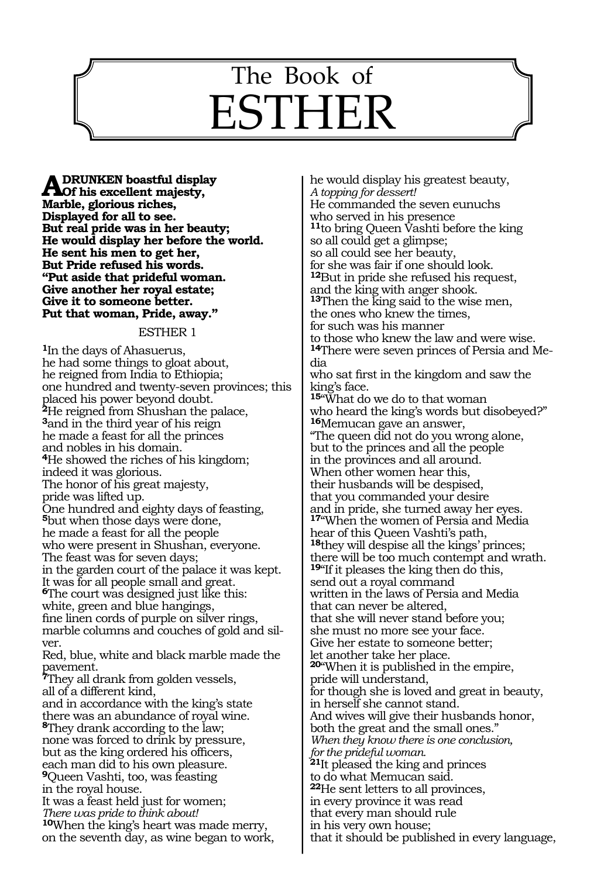# The Book of **ESTHE**

631

**A DRUNKEN boastful display**<br> **A Dof his excellent majesty,**<br> **Morble glorious rishes Marble, glorious riches, Displayed for all to see. But real pride was in her beauty; He would display her before the world. He sent his men to get her, But Pride refused his words. "Put aside that prideful woman. Give another her royal estate; Give it to someone better. Put that woman, Pride, away."** 

#### ESTHER 1

**<sup>1</sup>**In the days of Ahasuerus, he had some things to gloat about, he reigned from India to Ethiopia; one hundred and twenty-seven provinces; this placed his power beyond doubt. **<sup>2</sup>**He reigned from Shushan the palace, **<sup>3</sup>**and in the third year of his reign he made a feast for all the princes and nobles in his domain. **<sup>4</sup>**He showed the riches of his kingdom; indeed it was glorious. The honor of his great majesty, pride was lifted up. One hundred and eighty days of feasting, **<sup>5</sup>**but when those days were done, he made a feast for all the people who were present in Shushan, everyone. The feast was for seven days; in the garden court of the palace it was kept. It was for all people small and great. **<sup>6</sup>**The court was designed just like this: white, green and blue hangings, fine linen cords of purple on silver rings, marble columns and couches of gold and silver. Red, blue, white and black marble made the pavement. **<sup>7</sup>**They all drank from golden vessels, all of a different kind, and in accordance with the king's state there was an abundance of royal wine. **<sup>8</sup>**They drank according to the law; none was forced to drink by pressure, but as the king ordered his officers, each man did to his own pleasure. **<sup>9</sup>**Queen Vashti, too, was feasting in the royal house. It was a feast held just for women; *There was pride to think about!*  **<sup>10</sup>**When the king's heart was made merry, on the seventh day, as wine began to work,

he would display his greatest beauty, *A topping for dessert!*  He commanded the seven eunuchs who served in his presence **<sup>11</sup>**to bring Queen Vashti before the king so all could get a glimpse; so all could see her beauty, for she was fair if one should look. **<sup>12</sup>**But in pride she refused his request, and the king with anger shook. **<sup>13</sup>**Then the king said to the wise men, the ones who knew the times, for such was his manner to those who knew the law and were wise. **<sup>14</sup>**There were seven princes of Persia and Me- dia who sat first in the kingdom and saw the king's face. **<sup>15</sup>**"What do we do to that woman who heard the king's words but disobeyed?" **<sup>16</sup>**Memucan gave an answer, "The queen did not do you wrong alone, but to the princes and all the people in the provinces and all around. When other women hear this, their husbands will be despised, that you commanded your desire and in pride, she turned away her eyes. **<sup>17</sup>**"When the women of Persia and Media hear of this Queen Vashti's path, **<sup>18</sup>**they will despise all the kings' princes; there will be too much contempt and wrath. **<sup>19</sup>**"If it pleases the king then do this, send out a royal command written in the laws of Persia and Media that can never be altered, that she will never stand before you; she must no more see your face. Give her estate to someone better; let another take her place. **<sup>20</sup>**"When it is published in the empire, pride will understand, for though she is loved and great in beauty, in herself she cannot stand. And wives will give their husbands honor, both the great and the small ones." *When they know there is one conclusion, for the prideful woman.*  **<sup>21</sup>**It pleased the king and princes to do what Memucan said. **<sup>22</sup>**He sent letters to all provinces, in every province it was read that every man should rule in his very own house; that it should be published in every language,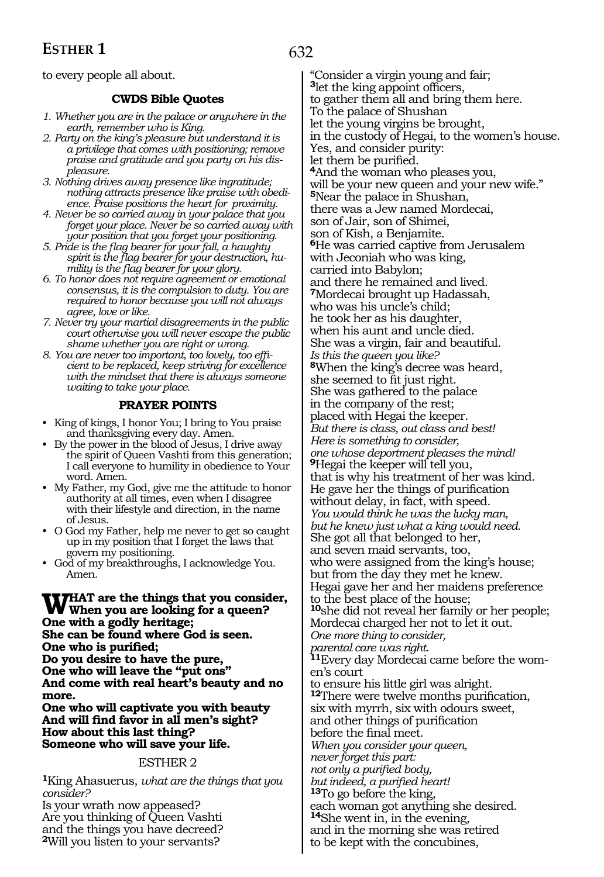to every people all about.

## **CWDS Bible Quotes**

- *1. Whether you are in the palace or anywhere in the earth, remember who is King.*
- *2. Party on the king's pleasure but understand it is a privilege that comes with positioning; remove praise and gratitude and you party on his displeasure.*
- *3. Nothing drives away presence like ingratitude; nothing attracts presence like praise with obedience. Praise positions the heart for proximity.*
- *4. Never be so carried away in your palace that you forget your place. Never be so carried away with your position that you forget your positioning.*
- *5. Pride is the flag bearer for your fall, a haughty spirit is the flag bearer for your destruction, humility is the flag bearer for your glory.*
- *6. To honor does not require agreement or emotional consensus, it is the compulsion to duty. You are required to honor because you will not always agree, love or like.*
- *7. Never try your martial disagreements in the public court otherwise you will never escape the public shame whether you are right or wrong.*
- *8. You are never too important, too lovely, too efficient to be replaced, keep striving for excellence with the mindset that there is always someone waiting to take your place.*

## **PRAYER POINTS**

- King of kings, I honor You; I bring to You praise and thanksgiving every day. Amen.
- By the power in the blood of Jesus, I drive away the spirit of Queen Vashti from this generation; I call everyone to humility in obedience to Your word. Amen.
- My Father, my God, give me the attitude to honor authority at all times, even when I disagree with their lifestyle and direction, in the name of Jesus.
- O God my Father, help me never to get so caught up in my position that I forget the laws that govern my positioning.
- God of my breakthroughs, I acknowledge You. Amen.

# WHAT are the things that you consider,<br>When you are looking for a queen? **One with a godly heritage; She can be found where God is seen. One who is purified;**

**Do you desire to have the pure, One who will leave the "put ons" And come with real heart's beauty and no more.** 

**One who will captivate you with beauty And will find favor in all men's sight? How about this last thing? Someone who will save your life.** 

### ESTHER 2

**<sup>1</sup>**King Ahasuerus, *what are the things that you consider?* 

Is your wrath now appeased? Are you thinking of Queen Vashti and the things you have decreed? **<sup>2</sup>**Will you listen to your servants?

"Consider a virgin young and fair; **<sup>3</sup>**let the king appoint officers, to gather them all and bring them here. To the palace of Shushan let the young virgins be brought, in the custody of Hegai, to the women's house. Yes, and consider purity: let them be purified. **4**And the woman who pleases you, will be your new queen and your new wife." **<sup>5</sup>**Near the palace in Shushan, there was a Jew named Mordecai, son of Jair, son of Shimei, son of Kish, a Benjamite. **<sup>6</sup>**He was carried captive from Jerusalem with Jeconiah who was king, carried into Babylon; and there he remained and lived. **<sup>7</sup>**Mordecai brought up Hadassah, who was his uncle's child; he took her as his daughter, when his aunt and uncle died. She was a virgin, fair and beautiful. *Is this the queen you like?*  **<sup>8</sup>**When the king's decree was heard, she seemed to fit just right. She was gathered to the palace in the company of the rest; placed with Hegai the keeper. *But there is class, out class and best! Here is something to consider, one whose deportment pleases the mind!*  **<sup>9</sup>**Hegai the keeper will tell you, that is why his treatment of her was kind. He gave her the things of purification without delay, in fact, with speed. *You would think he was the lucky man, but he knew just what a king would need.* She got all that belonged to her, and seven maid servants, too, who were assigned from the king's house; but from the day they met he knew. Hegai gave her and her maidens preference to the best place of the house; **<sup>10</sup>**she did not reveal her family or her people; Mordecai charged her not to let it out. *One more thing to consider, parental care was right.*  **11**Every day Mordecai came before the women's court to ensure his little girl was alright. **<sup>12</sup>**There were twelve months purification, six with myrrh, six with odours sweet, and other things of purification before the final meet. *When you consider your queen, never forget this part: not only a purified body, but indeed, a purified heart!*  **<sup>13</sup>**To go before the king, each woman got anything she desired. **<sup>14</sup>**She went in, in the evening, and in the morning she was retired

to be kept with the concubines,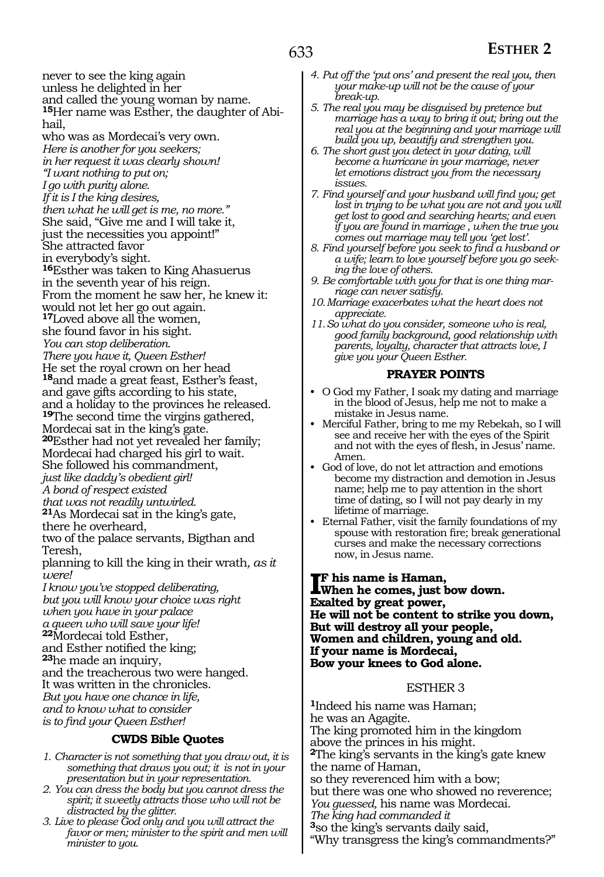never to see the king again unless he delighted in her and called the young woman by name. **15**Her name was Esther, the daughter of Abihail, who was as Mordecai's very own. *Here is another for you seekers; in her request it was clearly shown! "I want nothing to put on; I go with purity alone. If it is I the king desires, then what he will get is me, no more."*  She said, "Give me and I will take it, just the necessities you appoint!" She attracted favor in everybody's sight. **<sup>16</sup>**Esther was taken to King Ahasuerus in the seventh year of his reign. From the moment he saw her, he knew it: would not let her go out again. **<sup>17</sup>**Loved above all the women, she found favor in his sight. *You can stop deliberation. There you have it, Queen Esther!*  He set the royal crown on her head **<sup>18</sup>**and made a great feast, Esther's feast, and gave gifts according to his state, and a holiday to the provinces he released. **<sup>19</sup>**The second time the virgins gathered, Mordecai sat in the king's gate. **<sup>20</sup>**Esther had not yet revealed her family; Mordecai had charged his girl to wait. She followed his commandment, *just like daddy's obedient girl! A bond of respect existed that was not readily untwirled.*  **<sup>21</sup>**As Mordecai sat in the king's gate, there he overheard, two of the palace servants, Bigthan and Teresh, planning to kill the king in their wrath*, as it were! I know you've stopped deliberating, but you will know your choice was right when you have in your palace a queen who will save your life!*  **<sup>22</sup>**Mordecai told Esther, and Esther notified the king; **23**he made an inquiry, and the treacherous two were hanged. It was written in the chronicles. *But you have one chance in life, and to know what to consider is to find your Queen Esther!*

### **CWDS Bible Quotes**

- *1. Character is not something that you draw out, it is something that draws you out; it is not in your presentation but in your representation.*
- *2. You can dress the body but you cannot dress the spirit; it sweetly attracts those who will not be distracted by the glitter.*
- *3. Live to please God only and you will attract the favor or men; minister to the spirit and men will minister to you.*
- *4. Put off the 'put ons' and present the real you, then your make-up will not be the cause of your break-up.*
- *5. The real you may be disguised by pretence but marriage has a way to bring it out; bring out the real you at the beginning and your marriage will build you up, beautify and strengthen you.*
- *6. The short gust you detect in your dating, will become a hurricane in your marriage, never let emotions distract you from the necessary issues.*
- *7. Find yourself and your husband will find you; get lost in trying to be what you are not and you will get lost to good and searching hearts; and even if you are found in marriage , when the true you comes out marriage may tell you 'get lost'.*
- *8. Find yourself before you seek to find a husband or a wife; learn to love yourself before you go seeking the love of others.*
- *9. Be comfortable with you for that is one thing marriage can never satisfy.*
- *10.Marriage exacerbates what the heart does not appreciate.*
- *11.So what do you consider, someone who is real, good family background, good relationship with parents, loyalty, character that attracts love, I give you your Queen Esther.*

#### **PRAYER POINTS**

- O God my Father, I soak my dating and marriage in the blood of Jesus, help me not to make a mistake in Jesus name.
- Merciful Father, bring to me my Rebekah, so I will see and receive her with the eyes of the Spirit and not with the eyes of flesh, in Jesus' name. Amen.
- God of love, do not let attraction and emotions become my distraction and demotion in Jesus name; help me to pay attention in the short time of dating, so I will not pay dearly in my lifetime of marriage.
- Eternal Father, visit the family foundations of my spouse with restoration fire; break generational curses and make the necessary corrections now, in Jesus name.

**IF** his name is Haman,<br>When he comes, just b<br>Fruited by great newser **When he comes, just bow down. Exalted by great power, He will not be content to strike you down, But will destroy all your people, Women and children, young and old. If your name is Mordecai, Bow your knees to God alone.** 

#### ESTHER 3

**<sup>1</sup>**Indeed his name was Haman; he was an Agagite. The king promoted him in the kingdom above the princes in his might. **<sup>2</sup>**The king's servants in the king's gate knew the name of Haman, so they reverenced him with a bow; but there was one who showed no reverence; *You guessed,* his name was Mordecai. *The king had commanded it*  **<sup>3</sup>**so the king's servants daily said, "Why transgress the king's commandments?"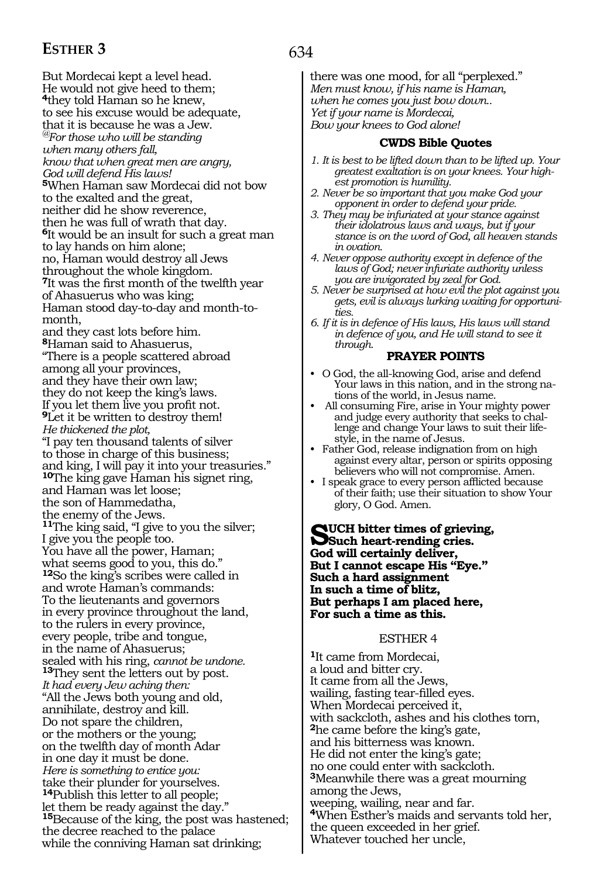# **ESTHER 3**

But Mordecai kept a level head. He would not give heed to them; **<sup>4</sup>**they told Haman so he knew, to see his excuse would be adequate, that it is because he was a Jew. *@For those who will be standing when many others fall, know that when great men are angry, God will defend His laws!*  **<sup>5</sup>**When Haman saw Mordecai did not bow to the exalted and the great, neither did he show reverence, then he was full of wrath that day. **<sup>6</sup>**It would be an insult for such a great man to lay hands on him alone; no, Haman would destroy all Jews throughout the whole kingdom. **<sup>7</sup>**It was the first month of the twelfth year of Ahasuerus who was king; Haman stood day-to-day and month-tomonth, and they cast lots before him. **<sup>8</sup>**Haman said to Ahasuerus, "There is a people scattered abroad among all your provinces, and they have their own law; they do not keep the king's laws. If you let them live you profit not. **<sup>9</sup>**Let it be written to destroy them! *He thickened the plot,*  "I pay ten thousand talents of silver to those in charge of this business; and king, I will pay it into your treasuries." **<sup>10</sup>**The king gave Haman his signet ring, and Haman was let loose; the son of Hammedatha, the enemy of the Jews. **<sup>11</sup>**The king said, "I give to you the silver; I give you the people too. You have all the power, Haman; what seems good to you, this do." **<sup>12</sup>**So the king's scribes were called in and wrote Haman's commands: To the lieutenants and governors in every province throughout the land, to the rulers in every province, every people, tribe and tongue, in the name of Ahasuerus; sealed with his ring, *cannot be undone.* **<sup>13</sup>**They sent the letters out by post. *It had every Jew aching then:*  "All the Jews both young and old, annihilate, destroy and kill. Do not spare the children, or the mothers or the young; on the twelfth day of month Adar in one day it must be done. *Here is something to entice you:*  take their plunder for yourselves. **<sup>14</sup>**Publish this letter to all people; let them be ready against the day." **<sup>15</sup>**Because of the king, the post was hastened; the decree reached to the palace while the conniving Haman sat drinking;

there was one mood, for all "perplexed." *Men must know, if his name is Haman, when he comes you just bow down.. Yet if your name is Mordecai, Bow your knees to God alone!* 

#### **CWDS Bible Quotes**

- *1. It is best to be lifted down than to be lifted up. Your greatest exaltation is on your knees. Your highest promotion is humility.*
- *2. Never be so important that you make God your opponent in order to defend your pride.*
- *3. They may be infuriated at your stance against their idolatrous laws and ways, but if your stance is on the word of God, all heaven stands in ovation.*
- *4. Never oppose authority except in defence of the laws of God; never infuriate authority unless you are invigorated by zeal for God.*
- *5. Never be surprised at how evil the plot against you gets, evil is always lurking waiting for opportunities.*

*6. If it is in defence of His laws, His laws will stand in defence of you, and He will stand to see it through.*

#### **PRAYER POINTS**

- O God, the all-knowing God, arise and defend Your laws in this nation, and in the strong nations of the world, in Jesus name.
- All consuming Fire, arise in Your mighty power and judge every authority that seeks to challenge and change Your laws to suit their lifestyle, in the name of Jesus.
- Father God, release indignation from on high against every altar, person or spirits opposing believers who will not compromise. Amen.
- I speak grace to every person afflicted because of their faith; use their situation to show Your glory, O God. Amen.

**Such bitter times of grieving, Such heart-rending cries. God will certainly deliver, But I cannot escape His "Eye." Such a hard assignment In such a time of blitz, But perhaps I am placed here, For such a time as this.** 

#### ESTHER 4

**<sup>1</sup>**It came from Mordecai, a loud and bitter cry. It came from all the Jews, wailing, fasting tear-filled eyes. When Mordecai perceived it, with sackcloth, ashes and his clothes torn, **<sup>2</sup>**he came before the king's gate, and his bitterness was known. He did not enter the king's gate; no one could enter with sackcloth. **<sup>3</sup>**Meanwhile there was a great mourning among the Jews, weeping, wailing, near and far. **<sup>4</sup>**When Esther's maids and servants told her, the queen exceeded in her grief. Whatever touched her uncle,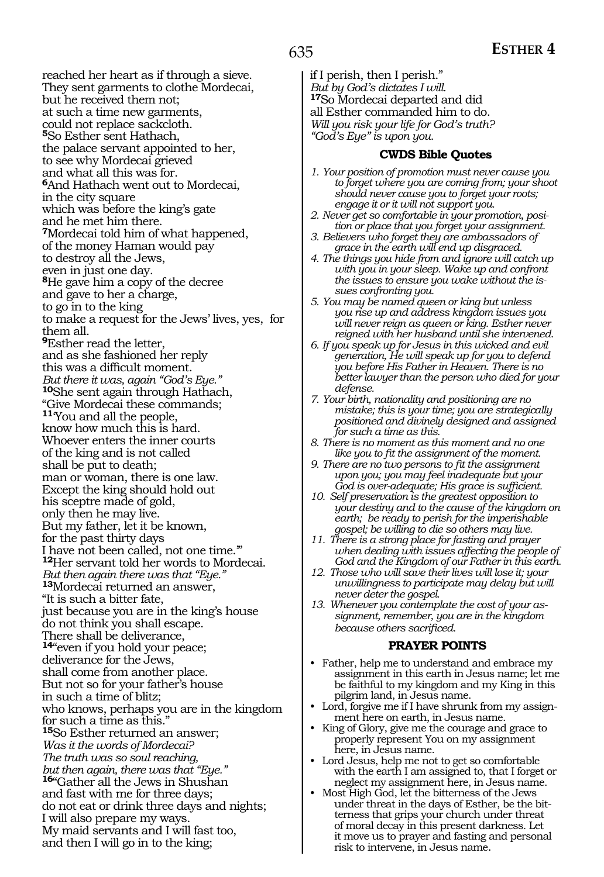reached her heart as if through a sieve. They sent garments to clothe Mordecai, but he received them not; at such a time new garments, could not replace sackcloth. **<sup>5</sup>**So Esther sent Hathach, the palace servant appointed to her, to see why Mordecai grieved and what all this was for. **<sup>6</sup>**And Hathach went out to Mordecai, in the city square which was before the king's gate and he met him there. **<sup>7</sup>**Mordecai told him of what happened, of the money Haman would pay to destroy all the Jews, even in just one day. **<sup>8</sup>**He gave him a copy of the decree and gave to her a charge, to go in to the king to make a request for the Jews' lives, yes, for them all. **<sup>9</sup>**Esther read the letter, and as she fashioned her reply this was a difficult moment. *But there it was, again "God's Eye."*  **<sup>10</sup>**She sent again through Hathach, "Give Mordecai these commands; **<sup>11</sup>**'You and all the people, know how much this is hard. Whoever enters the inner courts of the king and is not called shall be put to death; man or woman, there is one law. Except the king should hold out his sceptre made of gold, only then he may live. But my father, let it be known, for the past thirty days I have not been called, not one time." **<sup>12</sup>**Her servant told her words to Mordecai. *But then again there was that "Eye."* **<sup>13</sup>**Mordecai returned an answer, "It is such a bitter fate, just because you are in the king's house do not think you shall escape. There shall be deliverance, **<sup>14</sup>**"even if you hold your peace; deliverance for the Jews, shall come from another place. But not so for your father's house in such a time of blitz; who knows, perhaps you are in the kingdom for such a time as this." **<sup>15</sup>**So Esther returned an answer; *Was it the words of Mordecai? The truth was so soul reaching, but then again, there was that "Eye."* **<sup>16</sup>**"Gather all the Jews in Shushan and fast with me for three days; do not eat or drink three days and nights; I will also prepare my ways. My maid servants and I will fast too, and then I will go in to the king;

if I perish, then I perish." *But by God's dictates I will.* **<sup>17</sup>**So Mordecai departed and did all Esther commanded him to do. *Will you risk your life for God's truth? "God's Eye" is upon you.*

#### **CWDS Bible Quotes**

- *1. Your position of promotion must never cause you to forget where you are coming from; your shoot should never cause you to forget your roots; engage it or it will not support you.*
- *2. Never get so comfortable in your promotion, position or place that you forget your assignment.*
- *3. Believers who forget they are ambassadors of grace in the earth will end up disgraced.*
- *4. The things you hide from and ignore will catch up with you in your sleep. Wake up and confront the issues to ensure you wake without the issues confronting you.*
- *5. You may be named queen or king but unless you rise up and address kingdom issues you will never reign as queen or king. Esther never reigned with her husband until she intervened.*
- *6. If you speak up for Jesus in this wicked and evil generation, He will speak up for you to defend you before His Father in Heaven. There is no better lawyer than the person who died for your defense.*
- *7. Your birth, nationality and positioning are no mistake; this is your time; you are strategically positioned and divinely designed and assigned for such a time as this.*
- *8. There is no moment as this moment and no one like you to fit the assignment of the moment.*
- *9. There are no two persons to fit the assignment upon you; you may feel inadequate but your God is over-adequate; His grace is sufficient.*
- *10. Self preservation is the greatest opposition to your destiny and to the cause of the kingdom on earth; be ready to perish for the imperishable gospel; be willing to die so others may live.*
- *11. There is a strong place for fasting and prayer when dealing with issues affecting the people of God and the Kingdom of our Father in this earth.*
- *12. Those who will save their lives will lose it; your unwillingness to participate may delay but will never deter the gospel.*
- *13. Whenever you contemplate the cost of your assignment, remember, you are in the kingdom because others sacrificed.*

#### **PRAYER POINTS**

- Father, help me to understand and embrace my assignment in this earth in Jesus name; let me be faithful to my kingdom and my King in this pilgrim land, in Jesus name.
- Lord, forgive me if I have shrunk from my assignment here on earth, in Jesus name.
- King of Glory, give me the courage and grace to properly represent You on my assignment here, in Jesus name.
- Lord Jesus, help me not to get so comfortable with the earth I am assigned to, that I forget or neglect my assignment here, in Jesus name.
- Most High God, let the bitterness of the Jews under threat in the days of Esther, be the bitterness that grips your church under threat of moral decay in this present darkness. Let it move us to prayer and fasting and personal risk to intervene, in Jesus name.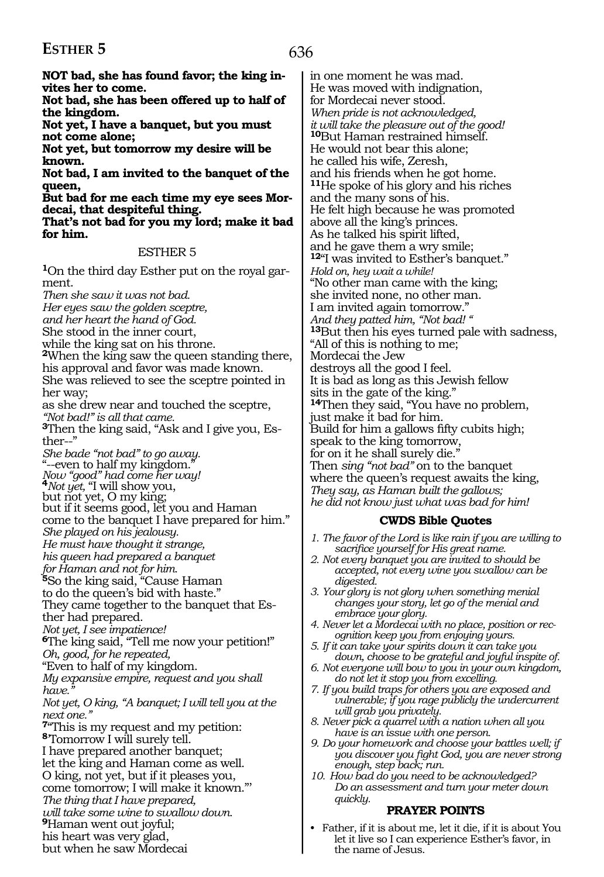# **ESTHER 5**

NOT bad, she has found favor; the king in**vites her to come.** 

**Not bad, she has been offered up to half of the kingdom.** 

**Not yet, I have a banquet, but you must not come alone;** 

**Not yet, but tomorrow my desire will be known.** 

**Not bad, I am invited to the banquet of the queen,** 

**But bad for me each time my eye sees Mordecai, that despiteful thing.** 

**That's not bad for you my lord; make it bad for him.**

#### ESTHER 5

**1**On the third day Esther put on the royal garment.

*Then she saw it was not bad.* 

*Her eyes saw the golden sceptre,* 

*and her heart the hand of God.* 

She stood in the inner court,

while the king sat on his throne.

**<sup>2</sup>**When the king saw the queen standing there, his approval and favor was made known. She was relieved to see the sceptre pointed in

her way; as she drew near and touched the sceptre, *"Not bad!" is all that came.* 

**3**Then the king said, "Ask and I give you, Esther--"

*She bade "not bad" to go away.*  "--even to half my kingdom."

*Now "good" had come her way!*  **<sup>4</sup>***Not yet,* "I will show you, but not yet, O my king;

but not yet, O my king;<br>but if it seems good, let you and Haman

come to the banquet I have prepared for him."

*She played on his jealousy.*

*He must have thought it strange,*

*his queen had prepared a banquet*

*for Haman and not for him.*

**<sup>5</sup>**So the king said, "Cause Haman

to do the queen's bid with haste."

They came together to the banquet that Esther had prepared.

*Not yet, I see impatience!*

**<sup>6</sup>**The king said, "Tell me now your petition!" *Oh, good, for he repeated,* 

"Even to half of my kingdom.

*My expansive empire, request and you shall*  have."

*Not yet, O king, "A banquet; I will tell you at the next one."*

**<sup>7</sup>**"This is my request and my petition: **<sup>8</sup>**'Tomorrow I will surely tell. I have prepared another banquet; let the king and Haman come as well. O king, not yet, but if it pleases you, come tomorrow; I will make it known."' *The thing that I have prepared, will take some wine to swallow down.*  **<sup>9</sup>**Haman went out joyful; his heart was very glad,

but when he saw Mordecai

in one moment he was mad. He was moved with indignation, for Mordecai never stood. *When pride is not acknowledged, it will take the pleasure out of the good!*  **<sup>10</sup>**But Haman restrained himself. He would not bear this alone; he called his wife, Zeresh, and his friends when he got home. **<sup>11</sup>**He spoke of his glory and his riches and the many sons of his. He felt high because he was promoted above all the king's princes. As he talked his spirit lifted, and he gave them a wry smile; **<sup>12</sup>**"I was invited to Esther's banquet." *Hold on, hey wait a while!* "No other man came with the king; she invited none, no other man. I am invited again tomorrow." *And they patted him, "Not bad! "* **<sup>13</sup>**But then his eyes turned pale with sadness, "All of this is nothing to me; Mordecai the Jew destroys all the good I feel. It is bad as long as this Jewish fellow sits in the gate of the king." **<sup>14</sup>**Then they said, "You have no problem, just make it bad for him. Build for him a gallows fifty cubits high; speak to the king tomorrow, for on it he shall surely die." Then *sing "not bad"* on to the banquet where the queen's request awaits the king, *They say, as Haman built the gallows; he did not know just what was bad for him!* 

### **CWDS Bible Quotes**

- *1. The favor of the Lord is like rain if you are willing to sacrifice yourself for His great name.*
- *2. Not every banquet you are invited to should be accepted, not every wine you swallow can be digested.*
- *3. Your glory is not glory when something menial changes your story, let go of the menial and embrace your glory.*
- *4. Never let a Mordecai with no place, position or recognition keep you from enjoying yours.*
- *5. If it can take your spirits down it can take you down, choose to be grateful and joyful inspite of.*
- *6. Not everyone will bow to you in your own kingdom, do not let it stop you from excelling.*
- *7. If you build traps for others you are exposed and vulnerable; if you rage publicly the undercurrent will grab you privately.*
- *8. Never pick a quarrel with a nation when all you have is an issue with one person.*
- *9. Do your homework and choose your battles well; if you discover you fight God, you are never strong enough, step back; run.*
- *10. How bad do you need to be acknowledged? Do an assessment and turn your meter down quickly.*

# **PRAYER POINTS**

• Father, if it is about me, let it die, if it is about You let it live so I can experience Esther's favor, in the name of Jesus.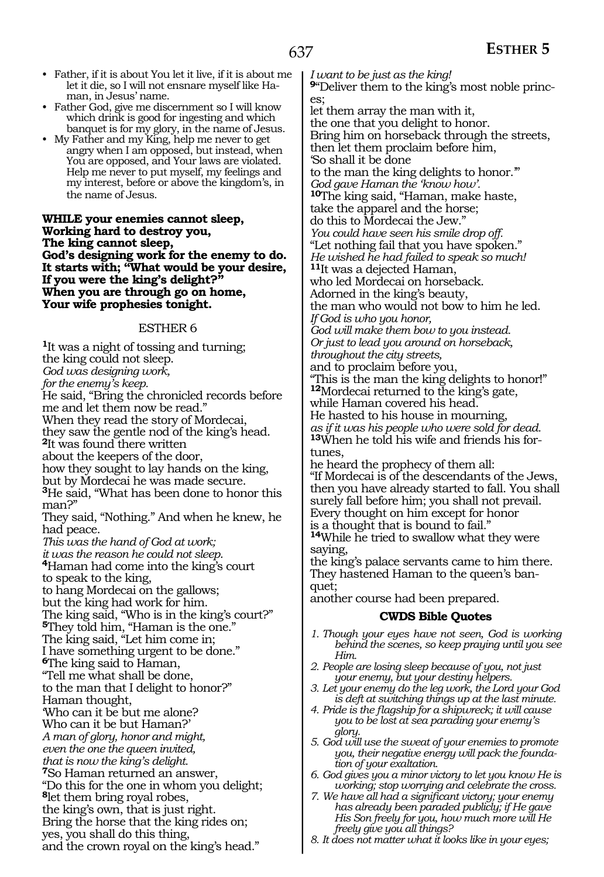- Father, if it is about You let it live, if it is about me let it die, so I will not ensnare myself like Haman, in Jesus' name.
- Father God, give me discernment so I will know which drink is good for ingesting and which banquet is for my glory, in the name of Jesus.
- My Father and my King, help me never to get angry when I am opposed, but instead, when You are opposed, and Your laws are violated. Help me never to put myself, my feelings and my interest, before or above the kingdom's, in the name of Jesus.

**While your enemies cannot sleep, Working hard to destroy you, The king cannot sleep, God's designing work for the enemy to do. It starts with; "What would be your desire, If you were the king's delight?" When you are through go on home, Your wife prophesies tonight.** 

#### ESTHER 6

**<sup>1</sup>**It was a night of tossing and turning; the king could not sleep. *God was designing work, for the enemy's keep.*  He said, "Bring the chronicled records before me and let them now be read." When they read the story of Mordecai, they saw the gentle nod of the king's head. **<sup>2</sup>**It was found there written about the keepers of the door, how they sought to lay hands on the king, but by Mordecai he was made secure. **<sup>3</sup>**He said, "What has been done to honor this man?" They said, "Nothing." And when he knew, he had peace. *This was the hand of God at work; it was the reason he could not sleep.* **4**Haman had come into the king's court to speak to the king, to hang Mordecai on the gallows; but the king had work for him. The king said, "Who is in the king's court?" **<sup>5</sup>**They told him, "Haman is the one." The king said, "Let him come in; I have something urgent to be done." **<sup>6</sup>**The king said to Haman, "Tell me what shall be done, to the man that I delight to honor?" Haman thought, 'Who can it be but me alone? Who can it be but Haman?' *A man of glory, honor and might, even the one the queen invited, that is now the king's delight.* **<sup>7</sup>**So Haman returned an answer, "Do this for the one in whom you delight; **<sup>8</sup>**let them bring royal robes, the king's own, that is just right. Bring the horse that the king rides on; yes, you shall do this thing, and the crown royal on the king's head."

*I want to be just as the king!*  **9**"Deliver them to the king's most noble princes; let them array the man with it, the one that you delight to honor. Bring him on horseback through the streets, then let them proclaim before him, 'So shall it be done to the man the king delights to honor.'" *God gave Haman the 'know how'.*  **<sup>10</sup>**The king said, "Haman, make haste, take the apparel and the horse; do this to Mordecai the Jew." *You could have seen his smile drop off.*  "Let nothing fail that you have spoken." *He wished he had failed to speak so much!*  **<sup>11</sup>**It was a dejected Haman, who led Mordecai on horseback. Adorned in the king's beauty, the man who would not bow to him he led. *If God is who you honor, God will make them bow to you instead. Or just to lead you around on horseback, throughout the city streets,*  and to proclaim before you, "This is the man the king delights to honor!" **<sup>12</sup>**Mordecai returned to the king's gate, while Haman covered his head. He hasted to his house in mourning, *as if it was his people who were sold for dead.*  **<sup>13</sup>**When he told his wife and friends his for- tunes, he heard the prophecy of them all: "If Mordecai is of the descendants of the Jews, then you have already started to fall. You shall surely fall before him; you shall not prevail. Every thought on him except for honor is a thought that is bound to fail." **<sup>14</sup>**While he tried to swallow what they were

saying, the king's palace servants came to him there. They hastened Haman to the queen's banquet;

another course had been prepared.

#### **CWDS Bible Quotes**

- *1. Though your eyes have not seen, God is working behind the scenes, so keep praying until you see Him.*
- *2. People are losing sleep because of you, not just your enemy, but your destiny helpers.*
- *3. Let your enemy do the leg work, the Lord your God is deft at switching things up at the last minute.*
- *4. Pride is the flagship for a shipwreck; it will cause you to be lost at sea parading your enemy's glory.*
- *5. God will use the sweat of your enemies to promote you, their negative energy will pack the foundation of your exaltation.*
- *6. God gives you a minor victory to let you know He is working; stop worrying and celebrate the cross.*
- *7. We have all had a significant victory; your enemy has already been paraded publicly; if He gave His Son freely for you, how much more will He freely give you all things?*
- *8. It does not matter what it looks like in your eyes;*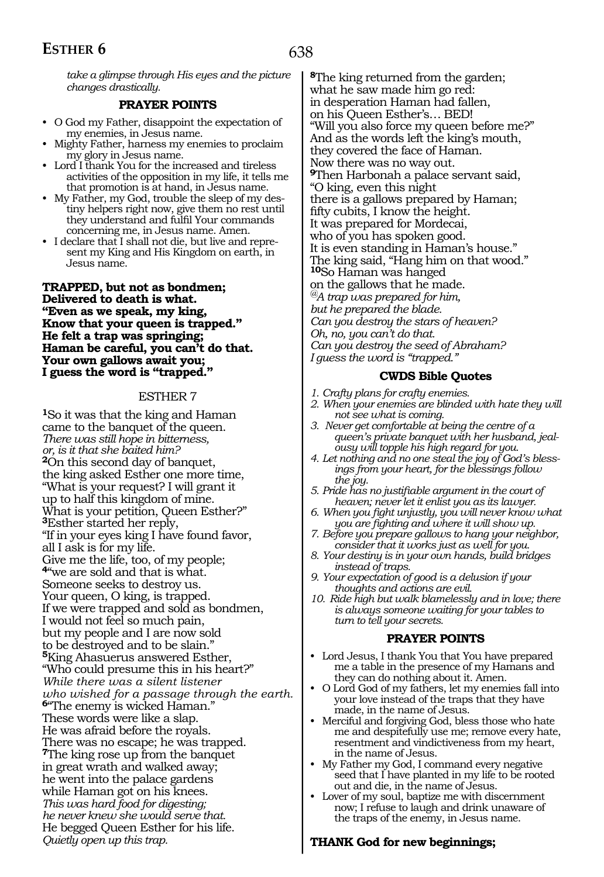*take a glimpse through His eyes and the picture changes drastically.*

#### **PRAYER POINTS**

- O God my Father, disappoint the expectation of my enemies, in Jesus name.
- Mighty Father, harness my enemies to proclaim my glory in Jesus name.
- Lord I thank You for the increased and tireless activities of the opposition in my life, it tells me that promotion is at hand, in Jesus name.
- My Father, my God, trouble the sleep of my destiny helpers right now, give them no rest until they understand and fulfil Your commands concerning me, in Jesus name. Amen.
- I declare that I shall not die, but live and represent my King and His Kingdom on earth, in Jesus name.

#### **Trapped, but not as bondmen; Delivered to death is what. "Even as we speak, my king, Know that your queen is trapped." He felt a trap was springing; Haman be careful, you can't do that. Your own gallows await you; I guess the word is "trapped."**

#### ESTHER 7

**<sup>1</sup>**So it was that the king and Haman came to the banquet of the queen. *There was still hope in bitterness, or, is it that she baited him?*  **<sup>2</sup>**On this second day of banquet, the king asked Esther one more time, "What is your request? I will grant it up to half this kingdom of mine. What is your petition, Queen Esther?" **<sup>3</sup>**Esther started her reply, "If in your eyes king I have found favor, all I ask is for my life. Give me the life, too, of my people; **<sup>4</sup>**"we are sold and that is what. Someone seeks to destroy us. Your queen, O king, is trapped. If we were trapped and sold as bondmen, I would not feel so much pain, but my people and I are now sold to be destroyed and to be slain." **<sup>5</sup>**King Ahasuerus answered Esther, "Who could presume this in his heart?" *While there was a silent listener who wished for a passage through the earth.* **<sup>6</sup>**"The enemy is wicked Haman." These words were like a slap. He was afraid before the royals. There was no escape; he was trapped. **<sup>7</sup>**The king rose up from the banquet in great wrath and walked away; he went into the palace gardens while Haman got on his knees. *This was hard food for digesting; he never knew she would serve that.* He begged Queen Esther for his life. *Quietly open up this trap.* 

**<sup>8</sup>**The king returned from the garden; what he saw made him go red: in desperation Haman had fallen, on his Queen Esther's… BED! "Will you also force my queen before me?" And as the words left the king's mouth, they covered the face of Haman. Now there was no way out. **<sup>9</sup>**Then Harbonah a palace servant said, "O king, even this night there is a gallows prepared by Haman; fifty cubits, I know the height. It was prepared for Mordecai, who of you has spoken good. It is even standing in Haman's house." The king said, "Hang him on that wood." **<sup>10</sup>**So Haman was hanged on the gallows that he made. *@A trap was prepared for him, but he prepared the blade. Can you destroy the stars of heaven? Oh, no, you can't do that. Can you destroy the seed of Abraham? I guess the word is "trapped."*

#### **CWDS Bible Quotes**

- *1. Crafty plans for crafty enemies.*
- *2. When your enemies are blinded with hate they will not see what is coming.*
- *3. Never get comfortable at being the centre of a queen's private banquet with her husband, jealousy will topple his high regard for you.*
- *4. Let nothing and no one steal the joy of God's blessings from your heart, for the blessings follow the joy.*
- *5. Pride has no justifiable argument in the court of heaven; never let it enlist you as its lawyer.*
- *6. When you fight unjustly, you will never know what you are fighting and where it will show up.*
- *7. Before you prepare gallows to hang your neighbor, consider that it works just as well for you.*
- *8. Your destiny is in your own hands, build bridges instead of traps.*
- *9. Your expectation of good is a delusion if your thoughts and actions are evil.*
- *10. Ride high but walk blamelessly and in love; there is always someone waiting for your tables to turn to tell your secrets.*

### **PRAYER POINTS**

- Lord Jesus, I thank You that You have prepared me a table in the presence of my Hamans and they can do nothing about it. Amen.
- O Lord God of my fathers, let my enemies fall into your love instead of the traps that they have made, in the name of Jesus.
- Merciful and forgiving God, bless those who hate me and despitefully use me; remove every hate, resentment and vindictiveness from my heart, in the name of Jesus.
- My Father my God, I command every negative seed that I have planted in my life to be rooted out and die, in the name of Jesus.
- Lover of my soul, baptize me with discernment now; I refuse to laugh and drink unaware of the traps of the enemy, in Jesus name.

# **Thank God for new beginnings;**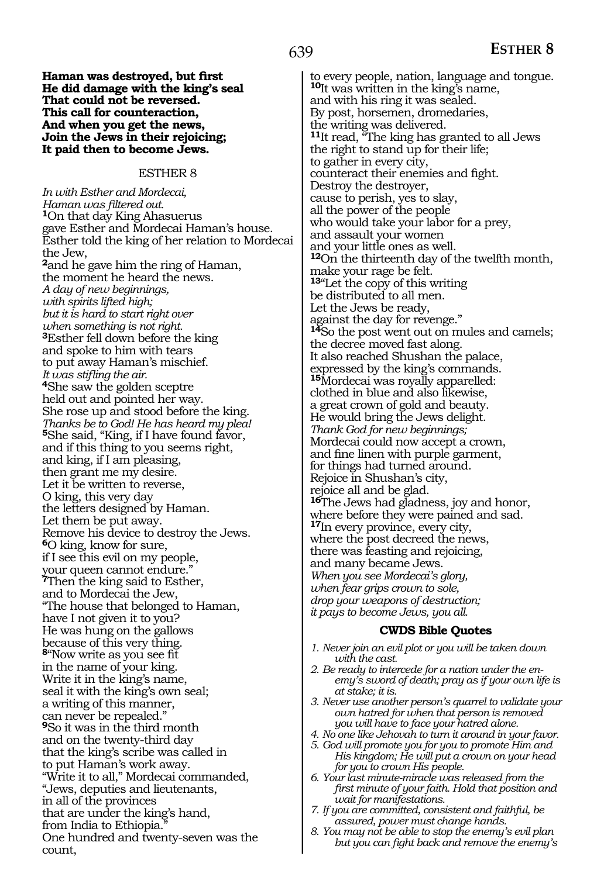**Haman was destroyed, but first He did damage with the king's seal That could not be reversed. This call for counteraction, And when you get the news, Join the Jews in their rejoicing; It paid then to become Jews.** 

#### ESTHER 8

*In with Esther and Mordecai, Haman was filtered out.* **1**On that day King Ahasuerus gave Esther and Mordecai Haman's house. Esther told the king of her relation to Mordecai the Jew, **<sup>2</sup>**and he gave him the ring of Haman, the moment he heard the news. *A day of new beginnings, with spirits lifted high; but it is hard to start right over when something is not right.*  **<sup>3</sup>**Esther fell down before the king and spoke to him with tears to put away Haman's mischief. *It was stifling the air.* **<sup>4</sup>**She saw the golden sceptre held out and pointed her way. She rose up and stood before the king. *Thanks be to God! He has heard my plea!*  **<sup>5</sup>**She said, "King, if I have found favor, and if this thing to you seems right, and king, if I am pleasing, then grant me my desire. Let it be written to reverse, O king, this very day the letters designed by Haman. Let them be put away. Remove his device to destroy the Jews. **<sup>6</sup>**O king, know for sure, if I see this evil on my people, your queen cannot endure." **<sup>7</sup>**Then the king said to Esther, and to Mordecai the Jew, "The house that belonged to Haman, have I not given it to you? He was hung on the gallows because of this very thing. **<sup>8</sup>**"Now write as you see fit in the name of your king. Write it in the king's name, seal it with the king's own seal; a writing of this manner, can never be repealed." **<sup>9</sup>**So it was in the third month and on the twenty-third day that the king's scribe was called in to put Haman's work away. "Write it to all," Mordecai commanded, "Jews, deputies and lieutenants, in all of the provinces that are under the king's hand, from India to Ethiopia. One hundred and twenty-seven was the count,

to every people, nation, language and tongue. **<sup>10</sup>**It was written in the king's name, and with his ring it was sealed. By post, horsemen, dromedaries, the writing was delivered. **<sup>11</sup>**It read, "The king has granted to all Jews the right to stand up for their life; to gather in every city, counteract their enemies and fight. Destroy the destroyer, cause to perish, yes to slay, all the power of the people who would take your labor for a prey, and assault your women and your little ones as well. **<sup>12</sup>**On the thirteenth day of the twelfth month, make your rage be felt. **<sup>13</sup>**"Let the copy of this writing be distributed to all men. Let the Jews be ready, against the day for revenge." **<sup>14</sup>**So the post went out on mules and camels; the decree moved fast along. It also reached Shushan the palace, expressed by the king's commands. **<sup>15</sup>**Mordecai was royally apparelled: clothed in blue and also likewise, a great crown of gold and beauty. He would bring the Jews delight. *Thank God for new beginnings;*  Mordecai could now accept a crown, and fine linen with purple garment, for things had turned around. Rejoice in Shushan's city, rejoice all and be glad. **<sup>16</sup>**The Jews had gladness, joy and honor, where before they were pained and sad. **<sup>17</sup>**In every province, every city, where the post decreed the news, there was feasting and rejoicing, and many became Jews. *When you see Mordecai's glory, when fear grips crown to sole, drop your weapons of destruction; it pays to become Jews, you all.*

#### **CWDS Bible Quotes**

- *1. Never join an evil plot or you will be taken down with the cast.*
- *2. Be ready to intercede for a nation under the enemy's sword of death; pray as if your own life is at stake; it is.*
- *3. Never use another person's quarrel to validate your own hatred for when that person is removed you will have to face your hatred alone.*
- *4. No one like Jehovah to turn it around in your favor.*
- *5. God will promote you for you to promote Him and His kingdom; He will put a crown on your head for you to crown His people.*
- *6. Your last minute-miracle was released from the first minute of your faith. Hold that position and wait for manifestations.*
- *7. If you are committed, consistent and faithful, be assured, power must change hands.*
- *8. You may not be able to stop the enemy's evil plan but you can fight back and remove the enemy's*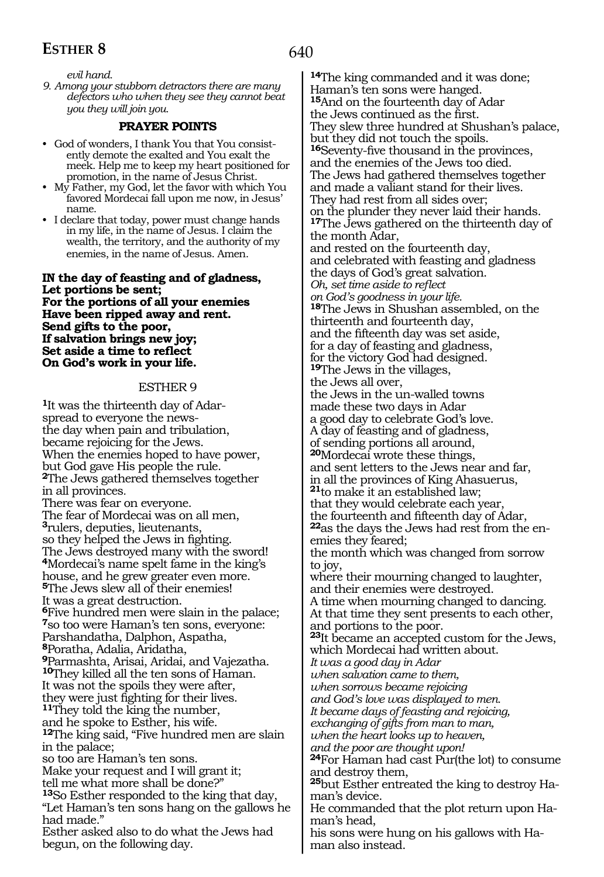# **ESTHER 8**

*evil hand.*

*9. Among your stubborn detractors there are many defectors who when they see they cannot beat you they will join you.*

# **PRAYER POINTS**

- God of wonders, I thank You that You consistently demote the exalted and You exalt the meek. Help me to keep my heart positioned for promotion, in the name of Jesus Christ.
- My Father, my God, let the favor with which You favored Mordecai fall upon me now, in Jesus' name.
- I declare that today, power must change hands in my life, in the name of Jesus. I claim the wealth, the territory, and the authority of my enemies, in the name of Jesus. Amen.

**In the day of feasting and of gladness, Let portions be sent; For the portions of all your enemies Have been ripped away and rent. Send gifts to the poor, If salvation brings new joy; Set aside a time to reflect On God's work in your life.** 

### ESTHER 9

**1**It was the thirteenth day of Adarspread to everyone the newsthe day when pain and tribulation, became rejoicing for the Jews. When the enemies hoped to have power, but God gave His people the rule. **<sup>2</sup>**The Jews gathered themselves together in all provinces*.*  There was fear on everyone. The fear of Mordecai was on all men, **<sup>3</sup>**rulers, deputies, lieutenants, so they helped the Jews in fighting. The Jews destroyed many with the sword! **<sup>4</sup>**Mordecai's name spelt fame in the king's house, and he grew greater even more. **<sup>5</sup>**The Jews slew all of their enemies! It was a great destruction. **<sup>6</sup>**Five hundred men were slain in the palace; **<sup>7</sup>**so too were Haman's ten sons, everyone: Parshandatha, Dalphon, Aspatha, **<sup>8</sup>**Poratha, Adalia, Aridatha, **<sup>9</sup>**Parmashta, Arisai, Aridai, and Vajezatha. **<sup>10</sup>**They killed all the ten sons of Haman. It was not the spoils they were after, they were just fighting for their lives. **11**They told the king the number, and he spoke to Esther, his wife. **<sup>12</sup>**The king said, "Five hundred men are slain in the palace; so too are Haman's ten sons. Make your request and I will grant it; tell me what more shall be done?" **<sup>13</sup>**So Esther responded to the king that day, "Let Haman's ten sons hang on the gallows he had made." Esther asked also to do what the Jews had begun, on the following day.

**<sup>14</sup>**The king commanded and it was done; Haman's ten sons were hanged. **<sup>15</sup>**And on the fourteenth day of Adar the Jews continued as the first. They slew three hundred at Shushan's palace, but they did not touch the spoils. **<sup>16</sup>**Seventy-five thousand in the provinces, and the enemies of the Jews too died. The Jews had gathered themselves together and made a valiant stand for their lives. They had rest from all sides over; on the plunder they never laid their hands. **<sup>17</sup>**The Jews gathered on the thirteenth day of the month Adar, and rested on the fourteenth day, and celebrated with feasting and gladness the days of God's great salvation. *Oh, set time aside to reflect on God's goodness in your life.*  **<sup>18</sup>**The Jews in Shushan assembled, on the thirteenth and fourteenth day, and the fifteenth day was set aside, for a day of feasting and gladness, for the victory God had designed. **<sup>19</sup>**The Jews in the villages, the Jews all over, the Jews in the un-walled towns made these two days in Adar a good day to celebrate God's love. A day of feasting and of gladness, of sending portions all around, **<sup>20</sup>**Mordecai wrote these things, and sent letters to the Jews near and far, in all the provinces of King Ahasuerus, **<sup>21</sup>**to make it an established law; that they would celebrate each year, the fourteenth and fifteenth day of Adar, **22**as the days the Jews had rest from the enemies they feared; the month which was changed from sorrow to joy, where their mourning changed to laughter, and their enemies were destroyed. A time when mourning changed to dancing. At that time they sent presents to each other, and portions to the poor. **<sup>23</sup>**It became an accepted custom for the Jews, which Mordecai had written about. *It was a good day in Adar when salvation came to them, when sorrows became rejoicing and God's love was displayed to men. It became days of feasting and rejoicing, exchanging of gifts from man to man, when the heart looks up to heaven, and the poor are thought upon!*  **<sup>24</sup>**For Haman had cast Pur(the lot) to consume and destroy them, **<sup>25</sup>**but Esther entreated the king to destroy Ha- man's device. He commanded that the plot return upon Haman's head,

his sons were hung on his gallows with Haman also instead.